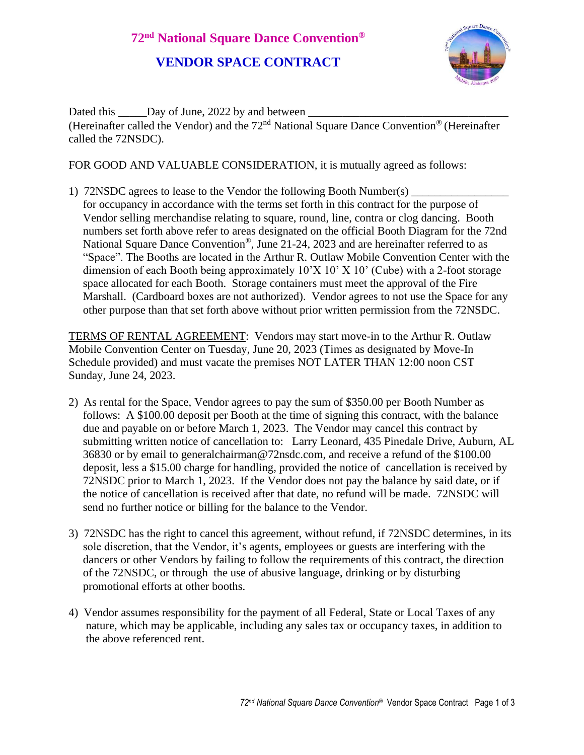

Dated this Day of June, 2022 by and between (Hereinafter called the Vendor) and the  $72<sup>nd</sup>$  National Square Dance Convention<sup>®</sup> (Hereinafter called the 72NSDC).

FOR GOOD AND VALUABLE CONSIDERATION, it is mutually agreed as follows:

1) 72NSDC agrees to lease to the Vendor the following Booth Number(s) for occupancy in accordance with the terms set forth in this contract for the purpose of Vendor selling merchandise relating to square, round, line, contra or clog dancing. Booth numbers set forth above refer to areas designated on the official Booth Diagram for the 72nd National Square Dance Convention®, June 21-24, 2023 and are hereinafter referred to as "Space". The Booths are located in the Arthur R. Outlaw Mobile Convention Center with the dimension of each Booth being approximately  $10'X 10'X 10'$  (Cube) with a 2-foot storage space allocated for each Booth. Storage containers must meet the approval of the Fire Marshall. (Cardboard boxes are not authorized). Vendor agrees to not use the Space for any other purpose than that set forth above without prior written permission from the 72NSDC.

TERMS OF RENTAL AGREEMENT: Vendors may start move-in to the Arthur R. Outlaw Mobile Convention Center on Tuesday, June 20, 2023 (Times as designated by Move-In Schedule provided) and must vacate the premises NOT LATER THAN 12:00 noon CST Sunday, June 24, 2023.

- 2) As rental for the Space, Vendor agrees to pay the sum of \$350.00 per Booth Number as follows: A \$100.00 deposit per Booth at the time of signing this contract, with the balance due and payable on or before March 1, 2023. The Vendor may cancel this contract by submitting written notice of cancellation to: Larry Leonard, 435 Pinedale Drive, Auburn, AL 36830 or by email to generalchairman@72nsdc.com, and receive a refund of the \$100.00 deposit, less a \$15.00 charge for handling, provided the notice of cancellation is received by 72NSDC prior to March 1, 2023. If the Vendor does not pay the balance by said date, or if the notice of cancellation is received after that date, no refund will be made. 72NSDC will send no further notice or billing for the balance to the Vendor.
- 3) 72NSDC has the right to cancel this agreement, without refund, if 72NSDC determines, in its sole discretion, that the Vendor, it's agents, employees or guests are interfering with the dancers or other Vendors by failing to follow the requirements of this contract, the direction of the 72NSDC, or through the use of abusive language, drinking or by disturbing promotional efforts at other booths.
- 4) Vendor assumes responsibility for the payment of all Federal, State or Local Taxes of any nature, which may be applicable, including any sales tax or occupancy taxes, in addition to the above referenced rent.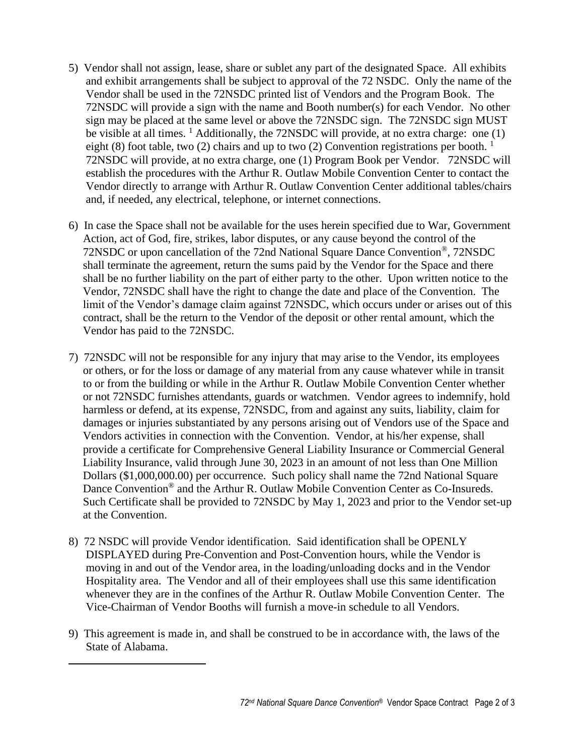- 5) Vendor shall not assign, lease, share or sublet any part of the designated Space. All exhibits and exhibit arrangements shall be subject to approval of the 72 NSDC. Only the name of the Vendor shall be used in the 72NSDC printed list of Vendors and the Program Book. The 72NSDC will provide a sign with the name and Booth number(s) for each Vendor. No other sign may be placed at the same level or above the 72NSDC sign. The 72NSDC sign MUST be visible at all times. <sup>1</sup> Additionally, the 72NSDC will provide, at no extra charge: one (1) eight (8) foot table, two (2) chairs and up to two (2) Convention registrations per booth.<sup>1</sup> 72NSDC will provide, at no extra charge, one (1) Program Book per Vendor. 72NSDC will establish the procedures with the Arthur R. Outlaw Mobile Convention Center to contact the Vendor directly to arrange with Arthur R. Outlaw Convention Center additional tables/chairs and, if needed, any electrical, telephone, or internet connections.
- 6) In case the Space shall not be available for the uses herein specified due to War, Government Action, act of God, fire, strikes, labor disputes, or any cause beyond the control of the 72NSDC or upon cancellation of the 72nd National Square Dance Convention®, 72NSDC shall terminate the agreement, return the sums paid by the Vendor for the Space and there shall be no further liability on the part of either party to the other. Upon written notice to the Vendor, 72NSDC shall have the right to change the date and place of the Convention. The limit of the Vendor's damage claim against 72NSDC, which occurs under or arises out of this contract, shall be the return to the Vendor of the deposit or other rental amount, which the Vendor has paid to the 72NSDC.
- 7) 72NSDC will not be responsible for any injury that may arise to the Vendor, its employees or others, or for the loss or damage of any material from any cause whatever while in transit to or from the building or while in the Arthur R. Outlaw Mobile Convention Center whether or not 72NSDC furnishes attendants, guards or watchmen. Vendor agrees to indemnify, hold harmless or defend, at its expense, 72NSDC, from and against any suits, liability, claim for damages or injuries substantiated by any persons arising out of Vendors use of the Space and Vendors activities in connection with the Convention. Vendor, at his/her expense, shall provide a certificate for Comprehensive General Liability Insurance or Commercial General Liability Insurance, valid through June 30, 2023 in an amount of not less than One Million Dollars (\$1,000,000.00) per occurrence. Such policy shall name the 72nd National Square Dance Convention® and the Arthur R. Outlaw Mobile Convention Center as Co-Insureds. Such Certificate shall be provided to 72NSDC by May 1, 2023 and prior to the Vendor set-up at the Convention.
- 8) 72 NSDC will provide Vendor identification. Said identification shall be OPENLY DISPLAYED during Pre-Convention and Post-Convention hours, while the Vendor is moving in and out of the Vendor area, in the loading/unloading docks and in the Vendor Hospitality area. The Vendor and all of their employees shall use this same identification whenever they are in the confines of the Arthur R. Outlaw Mobile Convention Center. The Vice-Chairman of Vendor Booths will furnish a move-in schedule to all Vendors.
- 9) This agreement is made in, and shall be construed to be in accordance with, the laws of the State of Alabama.